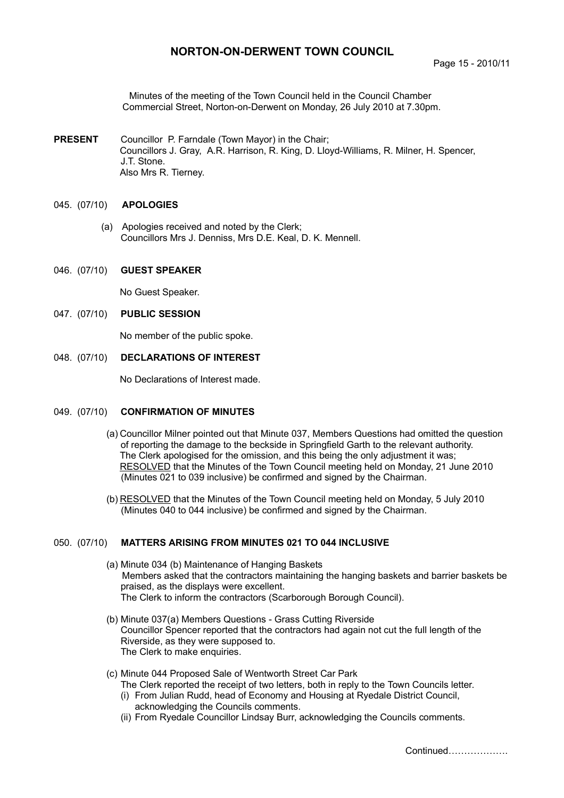# **NORTON-ON-DERWENT TOWN COUNCIL**

Minutes of the meeting of the Town Council held in the Council Chamber Commercial Street, Norton-on-Derwent on Monday, 26 July 2010 at 7.30pm.

**PRESENT** Councillor P. Farndale (Town Mayor) in the Chair; Councillors J. Gray, A.R. Harrison, R. King, D. Lloyd-Williams, R. Milner, H. Spencer, J.T. Stone. Also Mrs R. Tierney.

### 045. (07/10) **APOLOGIES**

 (a) Apologies received and noted by the Clerk; Councillors Mrs J. Denniss, Mrs D.E. Keal, D. K. Mennell.

### 046. (07/10) **GUEST SPEAKER**

No Guest Speaker.

047. (07/10) **PUBLIC SESSION** 

No member of the public spoke.

### 048. (07/10) **DECLARATIONS OF INTEREST**

No Declarations of Interest made.

#### 049. (07/10) **CONFIRMATION OF MINUTES**

- (a) Councillor Milner pointed out that Minute 037, Members Questions had omitted the question of reporting the damage to the beckside in Springfield Garth to the relevant authority. The Clerk apologised for the omission, and this being the only adjustment it was; RESOLVED that the Minutes of the Town Council meeting held on Monday, 21 June 2010 (Minutes 021 to 039 inclusive) be confirmed and signed by the Chairman.
- (b) RESOLVED that the Minutes of the Town Council meeting held on Monday, 5 July 2010 (Minutes 040 to 044 inclusive) be confirmed and signed by the Chairman.

#### 050. (07/10) **MATTERS ARISING FROM MINUTES 021 TO 044 INCLUSIVE**

- (a) Minute 034 (b) Maintenance of Hanging Baskets Members asked that the contractors maintaining the hanging baskets and barrier baskets be praised, as the displays were excellent. The Clerk to inform the contractors (Scarborough Borough Council).
- (b) Minute 037(a) Members Questions Grass Cutting Riverside Councillor Spencer reported that the contractors had again not cut the full length of the Riverside, as they were supposed to. The Clerk to make enquiries.
- (c) Minute 044 Proposed Sale of Wentworth Street Car Park The Clerk reported the receipt of two letters, both in reply to the Town Councils letter. (i) From Julian Rudd, head of Economy and Housing at Ryedale District Council,
	- acknowledging the Councils comments.
	- (ii) From Ryedale Councillor Lindsay Burr, acknowledging the Councils comments.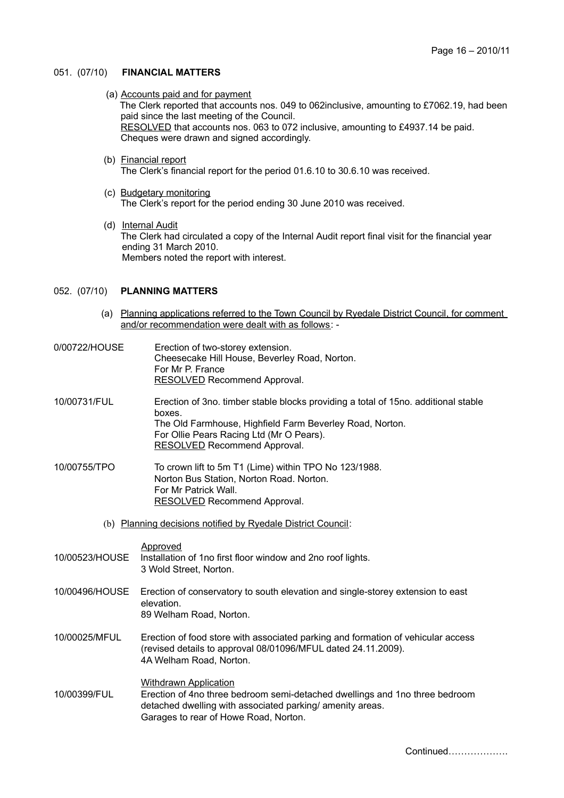### 051. (07/10) **FINANCIAL MATTERS**

- (a) Accounts paid and for payment The Clerk reported that accounts nos. 049 to 062inclusive, amounting to £7062.19, had been paid since the last meeting of the Council. RESOLVED that accounts nos. 063 to 072 inclusive, amounting to £4937.14 be paid. Cheques were drawn and signed accordingly.
- (b) Financial report The Clerk's financial report for the period 01.6.10 to 30.6.10 was received.
- (c) Budgetary monitoring The Clerk's report for the period ending 30 June 2010 was received.
- (d) Internal Audit The Clerk had circulated a copy of the Internal Audit report final visit for the financial year ending 31 March 2010. Members noted the report with interest.

### 052. (07/10) **PLANNING MATTERS**

- (a) Planning applications referred to the Town Council by Ryedale District Council, for comment and/or recommendation were dealt with as follows: -
- 0/00722/HOUSE Erection of two-storey extension. Cheesecake Hill House, Beverley Road, Norton. For Mr P. France RESOLVED Recommend Approval.

10/00731/FUL Erection of 3no. timber stable blocks providing a total of 15no. additional stable boxes. The Old Farmhouse, Highfield Farm Beverley Road, Norton. For Ollie Pears Racing Ltd (Mr O Pears). RESOLVED Recommend Approval.

- 10/00755/TPO To crown lift to 5m T1 (Lime) within TPO No 123/1988. Norton Bus Station, Norton Road. Norton. For Mr Patrick Wall. RESOLVED Recommend Approval.
	- (b) Planning decisions notified by Ryedale District Council:

Approved

10/00523/HOUSE Installation of 1no first floor window and 2no roof lights. 3 Wold Street, Norton.

10/00496/HOUSE Erection of conservatory to south elevation and single-storey extension to east elevation.

89 Welham Road, Norton.

10/00025/MFUL Erection of food store with associated parking and formation of vehicular access (revised details to approval 08/01096/MFUL dated 24.11.2009). 4A Welham Road, Norton.

### Withdrawn Application 10/00399/FUL Erection of 4no three bedroom semi-detached dwellings and 1no three bedroom detached dwelling with associated parking/ amenity areas. Garages to rear of Howe Road, Norton.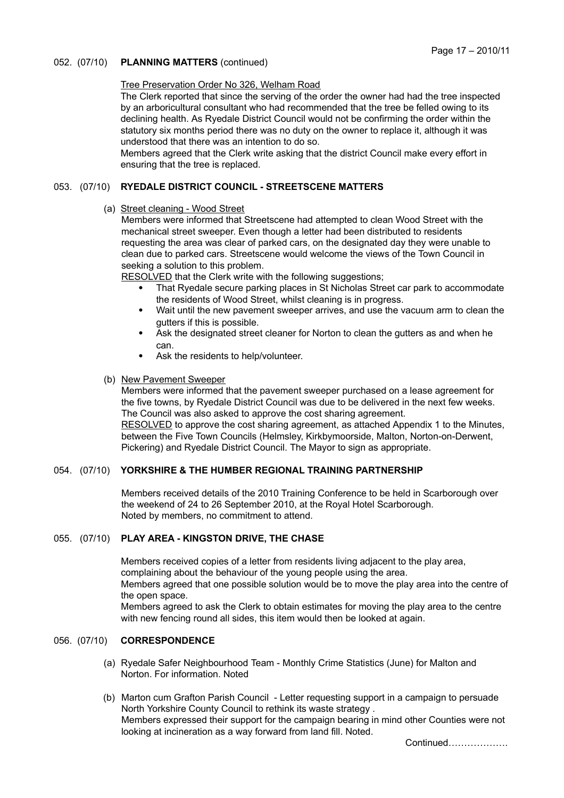## 052. (07/10) **PLANNING MATTERS** (continued)

## Tree Preservation Order No 326, Welham Road

The Clerk reported that since the serving of the order the owner had had the tree inspected by an arboricultural consultant who had recommended that the tree be felled owing to its declining health. As Ryedale District Council would not be confirming the order within the statutory six months period there was no duty on the owner to replace it, although it was understood that there was an intention to do so.

Members agreed that the Clerk write asking that the district Council make every effort in ensuring that the tree is replaced.

## 053. (07/10) **RYEDALE DISTRICT COUNCIL - STREETSCENE MATTERS**

(a) Street cleaning - Wood Street

Members were informed that Streetscene had attempted to clean Wood Street with the mechanical street sweeper. Even though a letter had been distributed to residents requesting the area was clear of parked cars, on the designated day they were unable to clean due to parked cars. Streetscene would welcome the views of the Town Council in seeking a solution to this problem.

RESOLVED that the Clerk write with the following suggestions:

- That Ryedale secure parking places in St Nicholas Street car park to accommodate the residents of Wood Street, whilst cleaning is in progress.
- Wait until the new pavement sweeper arrives, and use the vacuum arm to clean the gutters if this is possible.
- Ask the designated street cleaner for Norton to clean the gutters as and when he can.
- Ask the residents to help/volunteer.

## (b) New Pavement Sweeper

Members were informed that the pavement sweeper purchased on a lease agreement for the five towns, by Ryedale District Council was due to be delivered in the next few weeks. The Council was also asked to approve the cost sharing agreement. RESOLVED to approve the cost sharing agreement, as attached Appendix 1 to the Minutes, between the Five Town Councils (Helmsley, Kirkbymoorside, Malton, Norton-on-Derwent, Pickering) and Ryedale District Council. The Mayor to sign as appropriate.

### 054. (07/10) **YORKSHIRE & THE HUMBER REGIONAL TRAINING PARTNERSHIP**

Members received details of the 2010 Training Conference to be held in Scarborough over the weekend of 24 to 26 September 2010, at the Royal Hotel Scarborough. Noted by members, no commitment to attend.

## 055. (07/10) **PLAY AREA - KINGSTON DRIVE, THE CHASE**

Members received copies of a letter from residents living adjacent to the play area, complaining about the behaviour of the young people using the area. Members agreed that one possible solution would be to move the play area into the centre of the open space. Members agreed to ask the Clerk to obtain estimates for moving the play area to the centre with new fencing round all sides, this item would then be looked at again.

# 056. (07/10) **CORRESPONDENCE**

- (a) Ryedale Safer Neighbourhood Team Monthly Crime Statistics (June) for Malton and Norton. For information. Noted
- (b) Marton cum Grafton Parish Council Letter requesting support in a campaign to persuade North Yorkshire County Council to rethink its waste strategy . Members expressed their support for the campaign bearing in mind other Counties were not looking at incineration as a way forward from land fill. Noted.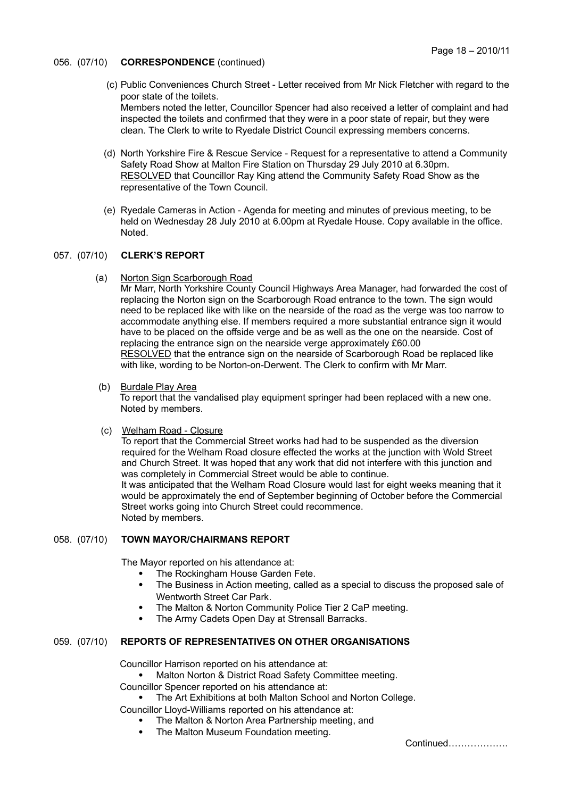- 056. (07/10) **CORRESPONDENCE** (continued)
	- (c) Public Conveniences Church Street Letter received from Mr Nick Fletcher with regard to the poor state of the toilets. Members noted the letter, Councillor Spencer had also received a letter of complaint and had inspected the toilets and confirmed that they were in a poor state of repair, but they were clean. The Clerk to write to Ryedale District Council expressing members concerns.
	- (d) North Yorkshire Fire & Rescue Service Request for a representative to attend a Community Safety Road Show at Malton Fire Station on Thursday 29 July 2010 at 6.30pm. RESOLVED that Councillor Ray King attend the Community Safety Road Show as the representative of the Town Council.
	- (e) Ryedale Cameras in Action Agenda for meeting and minutes of previous meeting, to be held on Wednesday 28 July 2010 at 6.00pm at Ryedale House. Copy available in the office. Noted.

## 057. (07/10) **CLERK'S REPORT**

(a) Norton Sign Scarborough Road

Mr Marr, North Yorkshire County Council Highways Area Manager, had forwarded the cost of replacing the Norton sign on the Scarborough Road entrance to the town. The sign would need to be replaced like with like on the nearside of the road as the verge was too narrow to accommodate anything else. If members required a more substantial entrance sign it would have to be placed on the offside verge and be as well as the one on the nearside. Cost of replacing the entrance sign on the nearside verge approximately £60.00 RESOLVED that the entrance sign on the nearside of Scarborough Road be replaced like with like, wording to be Norton-on-Derwent. The Clerk to confirm with Mr Marr.

(b) Burdale Play Area

To report that the vandalised play equipment springer had been replaced with a new one. Noted by members.

(c) Welham Road - Closure

To report that the Commercial Street works had had to be suspended as the diversion required for the Welham Road closure effected the works at the junction with Wold Street and Church Street. It was hoped that any work that did not interfere with this junction and was completely in Commercial Street would be able to continue. It was anticipated that the Welham Road Closure would last for eight weeks meaning that it would be approximately the end of September beginning of October before the Commercial Street works going into Church Street could recommence. Noted by members.

### 058. (07/10) **TOWN MAYOR/CHAIRMANS REPORT**

The Mayor reported on his attendance at:

- The Rockingham House Garden Fete.
- The Business in Action meeting, called as a special to discuss the proposed sale of Wentworth Street Car Park.
- The Malton & Norton Community Police Tier 2 CaP meeting.
- The Army Cadets Open Day at Strensall Barracks.

## 059. (07/10) **REPORTS OF REPRESENTATIVES ON OTHER ORGANISATIONS**

Councillor Harrison reported on his attendance at:

Malton Norton & District Road Safety Committee meeting.

Councillor Spencer reported on his attendance at:

The Art Exhibitions at both Malton School and Norton College.

Councillor Lloyd-Williams reported on his attendance at:

- The Malton & Norton Area Partnership meeting, and
- The Malton Museum Foundation meeting.